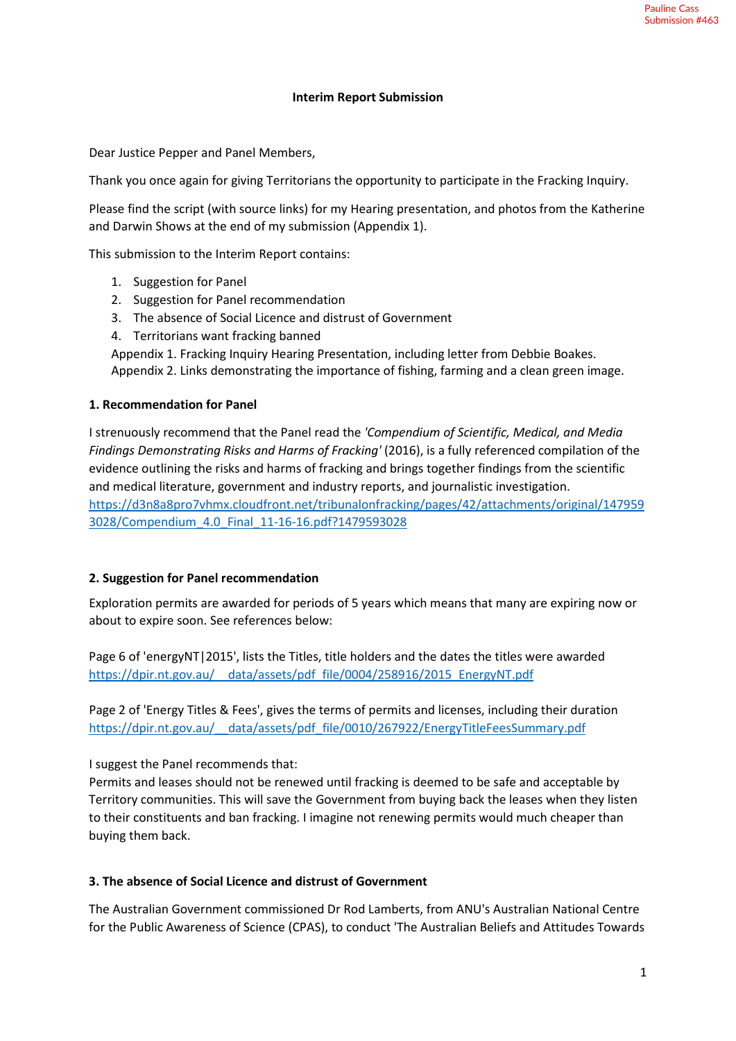### **Interim Report Submission**

Dear Justice Pepper and Panel Members,

Thank you once again for giving Territorians the opportunity to participate in the Fracking Inquiry.

Please find the script (with source links) for my Hearing presentation, and photos from the Katherine and Darwin Shows at the end of my submission (Appendix 1).

This submission to the Interim Report contains:

- 1. Suggestion for Panel
- 2. Suggestion for Panel recommendation
- 3. The absence of Social Licence and distrust of Government
- 4. Territorians want fracking banned

Appendix 1. Fracking Inquiry Hearing Presentation, including letter from Debbie Boakes. Appendix 2. Links demonstrating the importance of fishing, farming and a clean green image.

#### **1. Recommendation for Panel**

I strenuously recommend that the Panel read the *'Compendium of Scientific, Medical, and Media Findings Demonstrating Risks and Harms of Fracking'* (2016), is a fully referenced compilation of the evidence outlining the risks and harms of fracking and brings together findings from the scientific and medical literature, government and industry reports, and journalistic investigation. [https://d3n8a8pro7vhmx.cloudfront.net/tribunalonfracking/pages/42/attachments/original/147959](https://d3n8a8pro7vhmx.cloudfront.net/tribunalonfracking/pages/42/attachments/original/1479593028/Compendium_4.0_Final_11-16-16.pdf?1479593028) [3028/Compendium\\_4.0\\_Final\\_11-16-16.pdf?1479593028](https://d3n8a8pro7vhmx.cloudfront.net/tribunalonfracking/pages/42/attachments/original/1479593028/Compendium_4.0_Final_11-16-16.pdf?1479593028) 

### **2. Suggestion for Panel recommendation**

Exploration permits are awarded for periods of 5 years which means that many are expiring now or about to expire soon. See references below:

Page 6 of 'energyNT|2015', lists the Titles, title holders and the dates the titles were awarded [https://dpir.nt.gov.au/\\_\\_data/assets/pdf\\_file/0004/258916/2015\\_EnergyNT.pdf](https://dpir.nt.gov.au/__data/assets/pdf_file/0004/258916/2015_EnergyNT.pdf) 

Page 2 of 'Energy Titles & Fees', gives the terms of permits and licenses, including their duration [https://dpir.nt.gov.au/\\_\\_data/assets/pdf\\_file/0010/267922/EnergyTitleFeesSummary.pdf](https://dpir.nt.gov.au/__data/assets/pdf_file/0010/267922/EnergyTitleFeesSummary.pdf) 

I suggest the Panel recommends that:

Permits and leases should not be renewed until fracking is deemed to be safe and acceptable by Territory communities. This will save the Government from buying back the leases when they listen to their constituents and ban fracking. I imagine not renewing permits would much cheaper than buying them back.

### **3. The absence of Social Licence and distrust of Government**

The Australian Government commissioned Dr Rod Lamberts, from ANU's Australian National Centre for the Public Awareness of Science (CPAS), to conduct 'The Australian Beliefs and Attitudes Towards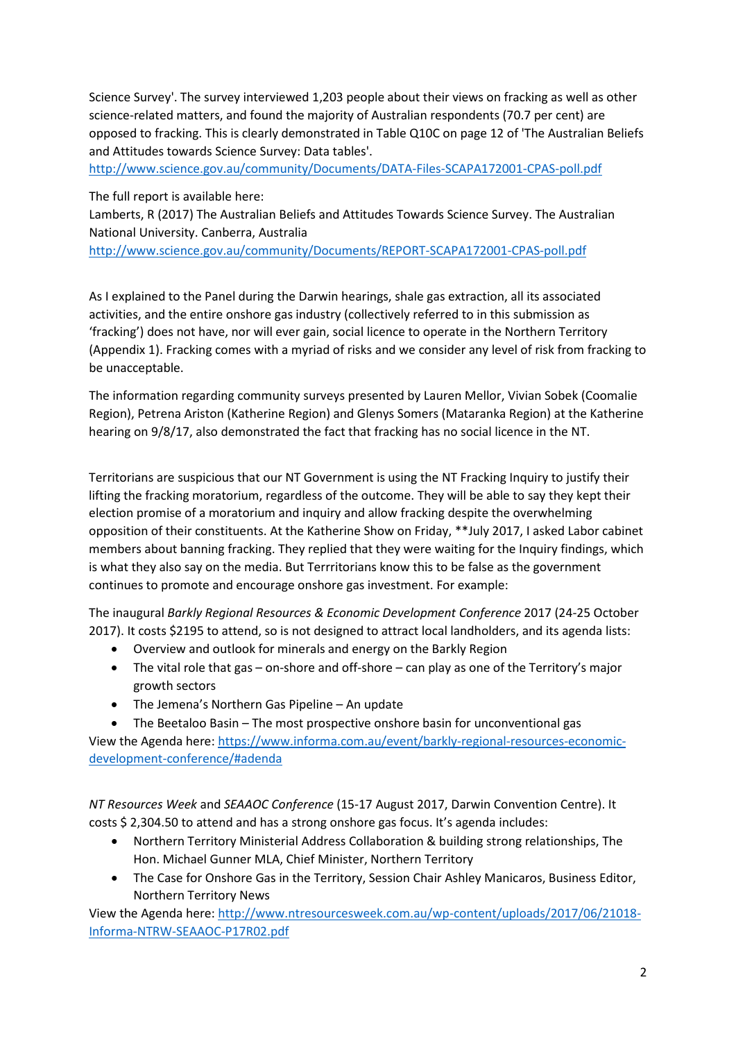Science Survey'. The survey interviewed 1,203 people about their views on fracking as well as other science-related matters, and found the majority of Australian respondents (70.7 per cent) are opposed to fracking. This is clearly demonstrated in Table Q10C on page 12 of 'The Australian Beliefs and Attitudes towards Science Survey: Data tables'.

<http://www.science.gov.au/community/Documents/DATA-Files-SCAPA172001-CPAS-poll.pdf>

The full report is available here:

Lamberts, R (2017) The Australian Beliefs and Attitudes Towards Science Survey. The Australian National University. Canberra, Australia

<http://www.science.gov.au/community/Documents/REPORT-SCAPA172001-CPAS-poll.pdf>

As I explained to the Panel during the Darwin hearings, shale gas extraction, all its associated activities, and the entire onshore gas industry (collectively referred to in this submission as 'fracking') does not have, nor will ever gain, social licence to operate in the Northern Territory (Appendix 1). Fracking comes with a myriad of risks and we consider any level of risk from fracking to be unacceptable.

The information regarding community surveys presented by Lauren Mellor, Vivian Sobek (Coomalie Region), Petrena Ariston (Katherine Region) and Glenys Somers (Mataranka Region) at the Katherine hearing on 9/8/17, also demonstrated the fact that fracking has no social licence in the NT.

Territorians are suspicious that our NT Government is using the NT Fracking Inquiry to justify their lifting the fracking moratorium, regardless of the outcome. They will be able to say they kept their election promise of a moratorium and inquiry and allow fracking despite the overwhelming opposition of their constituents. At the Katherine Show on Friday, \*\*July 2017, I asked Labor cabinet members about banning fracking. They replied that they were waiting for the Inquiry findings, which is what they also say on the media. But Terrritorians know this to be false as the government continues to promote and encourage onshore gas investment. For example:

The inaugural *Barkly Regional Resources & Economic Development Conference* 2017 (24-25 October 2017). It costs \$2195 to attend, so is not designed to attract local landholders, and its agenda lists:

- Overview and outlook for minerals and energy on the Barkly Region
- The vital role that gas on-shore and off-shore can play as one of the Territory's major growth sectors
- The Jemena's Northern Gas Pipeline An update
- The Beetaloo Basin The most prospective onshore basin for unconventional gas

View the Agenda here: [https://www.informa.com.au/event/barkly-regional-resources-economic](https://www.informa.com.au/event/barkly-regional-resources-economic-development-conference/#adenda)[development-conference/#adenda](https://www.informa.com.au/event/barkly-regional-resources-economic-development-conference/#adenda)

*NT Resources Week* and *SEAAOC Conference* (15-17 August 2017, Darwin Convention Centre). It costs \$ 2,304.50 to attend and has a strong onshore gas focus. It's agenda includes:

- Northern Territory Ministerial Address Collaboration & building strong relationships, The Hon. Michael Gunner MLA, Chief Minister, Northern Territory
- The Case for Onshore Gas in the Territory, Session Chair Ashley Manicaros, Business Editor, Northern Territory News

View the Agenda here: [http://www.ntresourcesweek.com.au/wp-content/uploads/2017/06/21018-](http://www.ntresourcesweek.com.au/wp-content/uploads/2017/06/21018-Informa-NTRW-SEAAOC-P17R02.pdf) [Informa-NTRW-SEAAOC-P17R02.pdf](http://www.ntresourcesweek.com.au/wp-content/uploads/2017/06/21018-Informa-NTRW-SEAAOC-P17R02.pdf)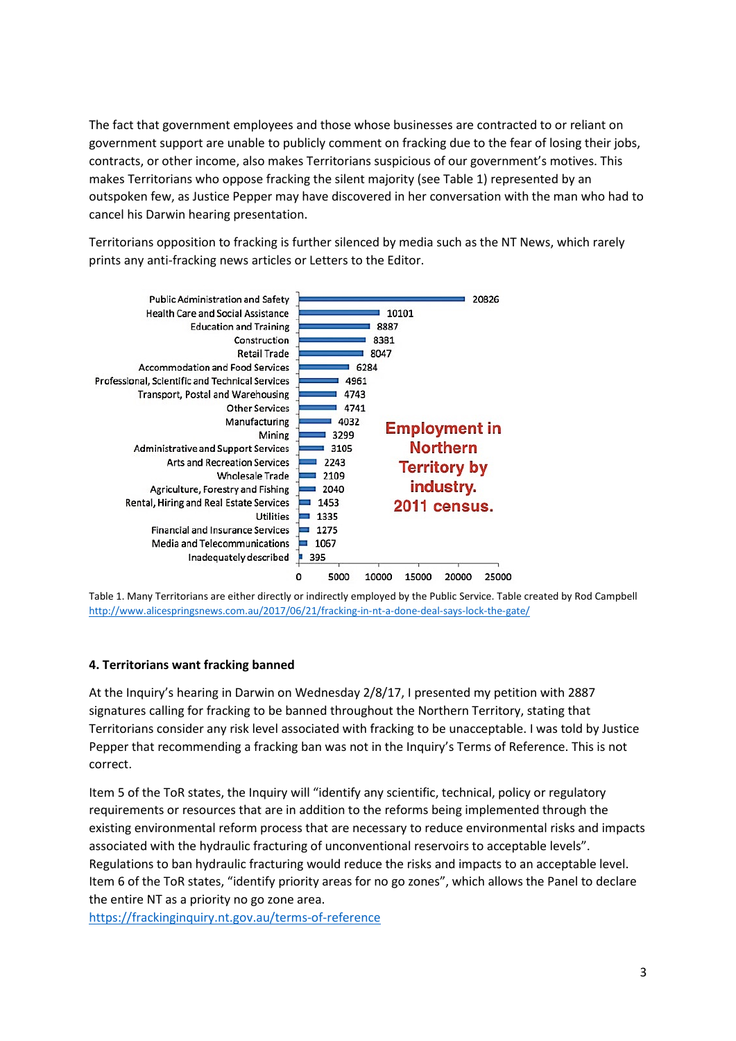The fact that government employees and those whose businesses are contracted to or reliant on government support are unable to publicly comment on fracking due to the fear of losing their jobs, contracts, or other income, also makes Territorians suspicious of our government's motives. This makes Territorians who oppose fracking the silent majority (see Table 1) represented by an outspoken few, as Justice Pepper may have discovered in her conversation with the man who had to cancel his Darwin hearing presentation.

Territorians opposition to fracking is further silenced by media such as the NT News, which rarely prints any anti-fracking news articles or Letters to the Editor.



Table 1. Many Territorians are either directly or indirectly employed by the Public Service. Table created by Rod Campbell <http://www.alicespringsnews.com.au/2017/06/21/fracking-in-nt-a-done-deal-says-lock-the-gate/>

### **4. Territorians want fracking banned**

At the Inquiry's hearing in Darwin on Wednesday 2/8/17, I presented my petition with 2887 signatures calling for fracking to be banned throughout the Northern Territory, stating that Territorians consider any risk level associated with fracking to be unacceptable. I was told by Justice Pepper that recommending a fracking ban was not in the Inquiry's Terms of Reference. This is not correct.

Item 5 of the ToR states, the Inquiry will "identify any scientific, technical, policy or regulatory requirements or resources that are in addition to the reforms being implemented through the existing environmental reform process that are necessary to reduce environmental risks and impacts associated with the hydraulic fracturing of unconventional reservoirs to acceptable levels". Regulations to ban hydraulic fracturing would reduce the risks and impacts to an acceptable level. Item 6 of the ToR states, "identify priority areas for no go zones", which allows the Panel to declare the entire NT as a priority no go zone area.

<https://frackinginquiry.nt.gov.au/terms-of-reference>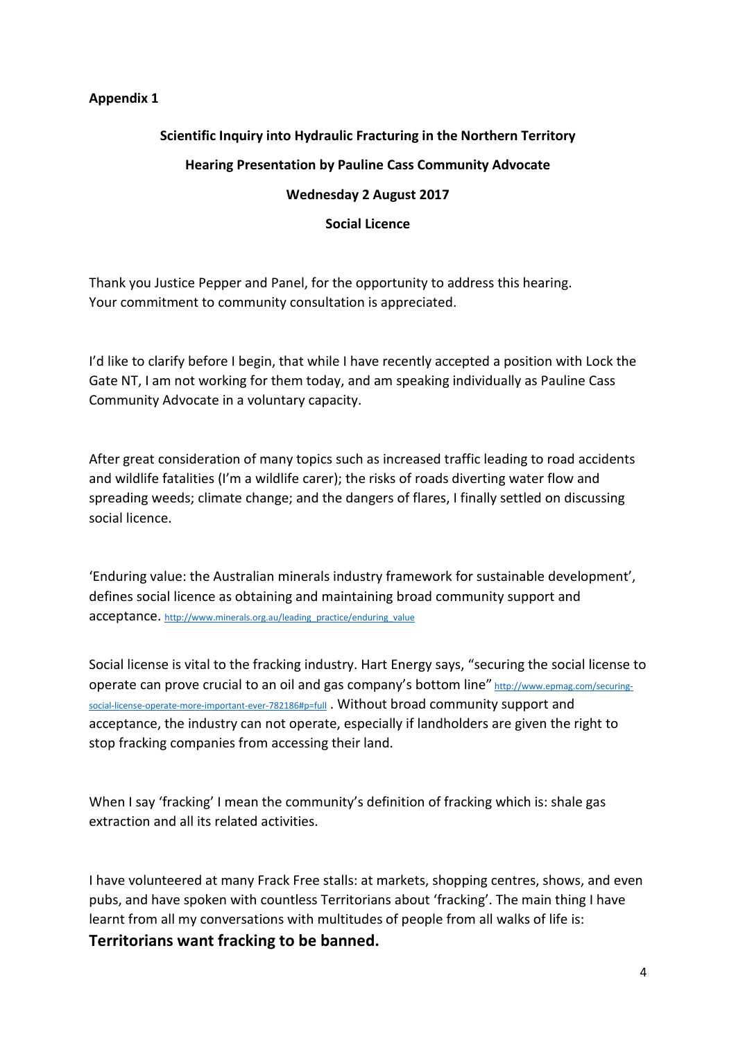# **Appendix 1**

# **Scientific Inquiry into Hydraulic Fracturing in the Northern Territory Hearing Presentation by Pauline Cass Community Advocate Wednesday 2 August 2017**

### **Social Licence**

Thank you Justice Pepper and Panel, for the opportunity to address this hearing. Your commitment to community consultation is appreciated.

I'd like to clarify before I begin, that while I have recently accepted a position with Lock the Gate NT, I am not working for them today, and am speaking individually as Pauline Cass Community Advocate in a voluntary capacity.

After great consideration of many topics such as increased traffic leading to road accidents and wildlife fatalities (I'm a wildlife carer); the risks of roads diverting water flow and spreading weeds; climate change; and the dangers of flares, I finally settled on discussing social licence.

'Enduring value: the Australian minerals industry framework for sustainable development', defines social licence as obtaining and maintaining broad community support and acceptance. [http://www.minerals.org.au/leading\\_practice/enduring\\_value](http://www.minerals.org.au/leading_practice/enduring_value)

Social license is vital to the fracking industry. Hart Energy says, "securing the social license to operate can prove crucial to an oil and gas company's bottom line" [http://www.epmag.com/securing](http://www.epmag.com/securing-social-license-operate-more-important-ever-782186#p=full)[social-license-operate-more-important-ever-782186#p=full](http://www.epmag.com/securing-social-license-operate-more-important-ever-782186#p=full) . Without broad community support and acceptance, the industry can not operate, especially if landholders are given the right to stop fracking companies from accessing their land.

When I say 'fracking' I mean the community's definition of fracking which is: shale gas extraction and all its related activities.

I have volunteered at many Frack Free stalls: at markets, shopping centres, shows, and even pubs, and have spoken with countless Territorians about 'fracking'. The main thing I have learnt from all my conversations with multitudes of people from all walks of life is:

**Territorians want fracking to be banned.**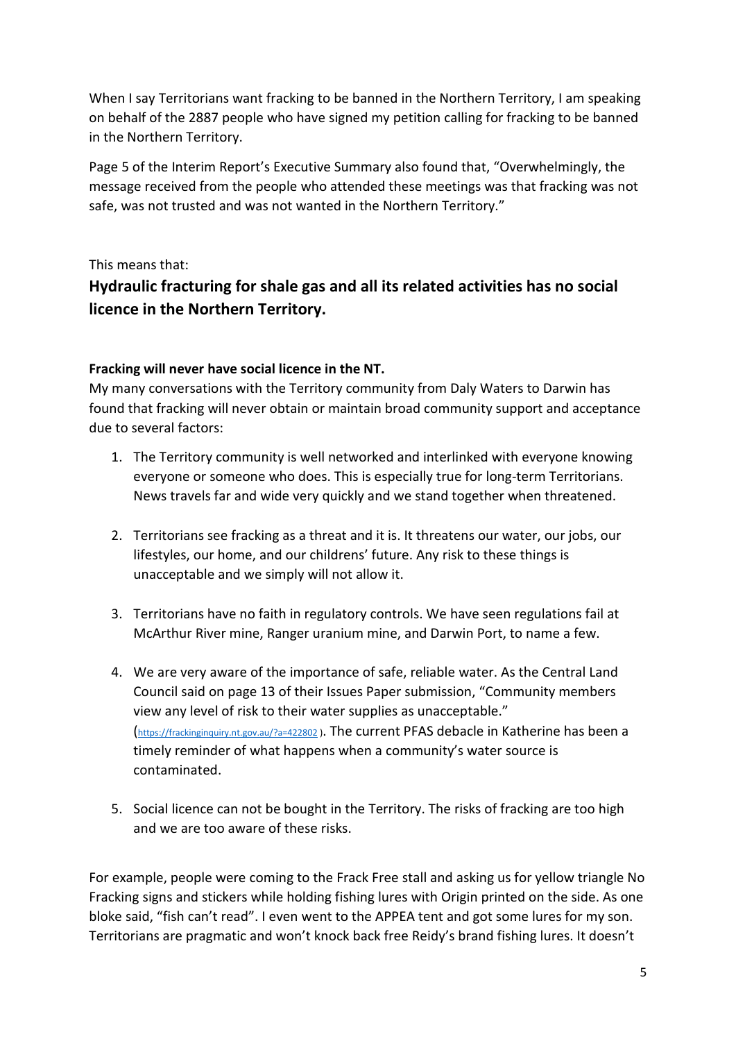When I say Territorians want fracking to be banned in the Northern Territory, I am speaking on behalf of the 2887 people who have signed my petition calling for fracking to be banned in the Northern Territory.

Page 5 of the Interim Report's Executive Summary also found that, "Overwhelmingly, the message received from the people who attended these meetings was that fracking was not safe, was not trusted and was not wanted in the Northern Territory."

This means that:

# **Hydraulic fracturing for shale gas and all its related activities has no social licence in the Northern Territory.**

# **Fracking will never have social licence in the NT.**

My many conversations with the Territory community from Daly Waters to Darwin has found that fracking will never obtain or maintain broad community support and acceptance due to several factors:

- 1. The Territory community is well networked and interlinked with everyone knowing everyone or someone who does. This is especially true for long-term Territorians. News travels far and wide very quickly and we stand together when threatened.
- 2. Territorians see fracking as a threat and it is. It threatens our water, our jobs, our lifestyles, our home, and our childrens' future. Any risk to these things is unacceptable and we simply will not allow it.
- 3. Territorians have no faith in regulatory controls. We have seen regulations fail at McArthur River mine, Ranger uranium mine, and Darwin Port, to name a few.
- 4. We are very aware of the importance of safe, reliable water. As the Central Land Council said on page 13 of their Issues Paper submission, "Community members view any level of risk to their water supplies as unacceptable." [\(https://frackinginquiry.nt.gov.au/?a=422802](https://frackinginquiry.nt.gov.au/?a=422802) ). The current PFAS debacle in Katherine has been a timely reminder of what happens when a community's water source is contaminated.
- 5. Social licence can not be bought in the Territory. The risks of fracking are too high and we are too aware of these risks.

For example, people were coming to the Frack Free stall and asking us for yellow triangle No Fracking signs and stickers while holding fishing lures with Origin printed on the side. As one bloke said, "fish can't read". I even went to the APPEA tent and got some lures for my son. Territorians are pragmatic and won't knock back free Reidy's brand fishing lures. It doesn't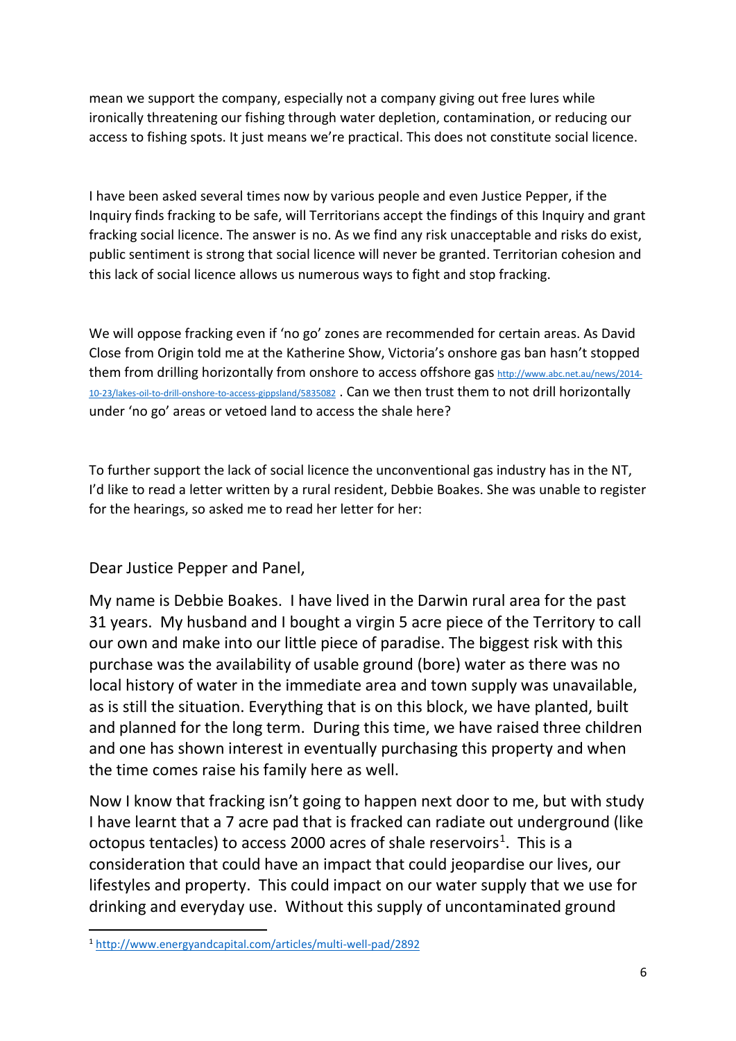mean we support the company, especially not a company giving out free lures while ironically threatening our fishing through water depletion, contamination, or reducing our access to fishing spots. It just means we're practical. This does not constitute social licence.

I have been asked several times now by various people and even Justice Pepper, if the Inquiry finds fracking to be safe, will Territorians accept the findings of this Inquiry and grant fracking social licence. The answer is no. As we find any risk unacceptable and risks do exist, public sentiment is strong that social licence will never be granted. Territorian cohesion and this lack of social licence allows us numerous ways to fight and stop fracking.

We will oppose fracking even if 'no go' zones are recommended for certain areas. As David Close from Origin told me at the Katherine Show, Victoria's onshore gas ban hasn't stopped them from drilling horizontally from onshore to access offshore gas [http://www.abc.net.au/news/2014-](http://www.abc.net.au/news/2014-10-23/lakes-oil-to-drill-onshore-to-access-gippsland/5835082) [10-23/lakes-oil-to-drill-onshore-to-access-gippsland/5835082](http://www.abc.net.au/news/2014-10-23/lakes-oil-to-drill-onshore-to-access-gippsland/5835082) . Can we then trust them to not drill horizontally under 'no go' areas or vetoed land to access the shale here?

To further support the lack of social licence the unconventional gas industry has in the NT, I'd like to read a letter written by a rural resident, Debbie Boakes. She was unable to register for the hearings, so asked me to read her letter for her:

Dear Justice Pepper and Panel,

My name is Debbie Boakes. I have lived in the Darwin rural area for the past 31 years. My husband and I bought a virgin 5 acre piece of the Territory to call our own and make into our little piece of paradise. The biggest risk with this purchase was the availability of usable ground (bore) water as there was no local history of water in the immediate area and town supply was unavailable, as is still the situation. Everything that is on this block, we have planted, built and planned for the long term. During this time, we have raised three children and one has shown interest in eventually purchasing this property and when the time comes raise his family here as well.

Now I know that fracking isn't going to happen next door to me, but with study I have learnt that a 7 acre pad that is fracked can radiate out underground (like octopus tentacles) to access 2000 acres of shale reservoirs<sup>[1](#page-5-0)</sup>. This is a consideration that could have an impact that could jeopardise our lives, our lifestyles and property. This could impact on our water supply that we use for drinking and everyday use. Without this supply of uncontaminated ground

<span id="page-5-0"></span> <sup>1</sup> <http://www.energyandcapital.com/articles/multi-well-pad/2892>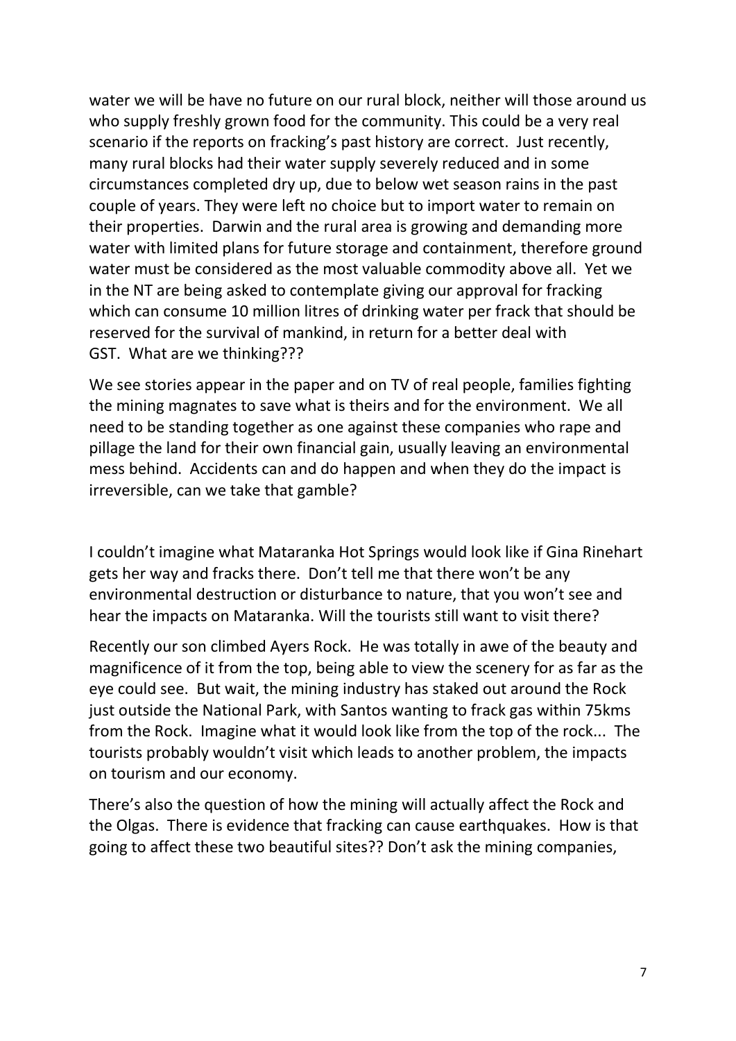water we will be have no future on our rural block, neither will those around us who supply freshly grown food for the community. This could be a very real scenario if the reports on fracking's past history are correct. Just recently, many rural blocks had their water supply severely reduced and in some circumstances completed dry up, due to below wet season rains in the past couple of years. They were left no choice but to import water to remain on their properties. Darwin and the rural area is growing and demanding more water with limited plans for future storage and containment, therefore ground water must be considered as the most valuable commodity above all. Yet we in the NT are being asked to contemplate giving our approval for fracking which can consume 10 million litres of drinking water per frack that should be reserved for the survival of mankind, in return for a better deal with GST. What are we thinking???

We see stories appear in the paper and on TV of real people, families fighting the mining magnates to save what is theirs and for the environment. We all need to be standing together as one against these companies who rape and pillage the land for their own financial gain, usually leaving an environmental mess behind. Accidents can and do happen and when they do the impact is irreversible, can we take that gamble?

I couldn't imagine what Mataranka Hot Springs would look like if Gina Rinehart gets her way and fracks there. Don't tell me that there won't be any environmental destruction or disturbance to nature, that you won't see and hear the impacts on Mataranka. Will the tourists still want to visit there?

Recently our son climbed Ayers Rock. He was totally in awe of the beauty and magnificence of it from the top, being able to view the scenery for as far as the eye could see. But wait, the mining industry has staked out around the Rock just outside the National Park, with Santos wanting to frack gas within 75kms from the Rock. Imagine what it would look like from the top of the rock... The tourists probably wouldn't visit which leads to another problem, the impacts on tourism and our economy.

There's also the question of how the mining will actually affect the Rock and the Olgas. There is evidence that fracking can cause earthquakes. How is that going to affect these two beautiful sites?? Don't ask the mining companies,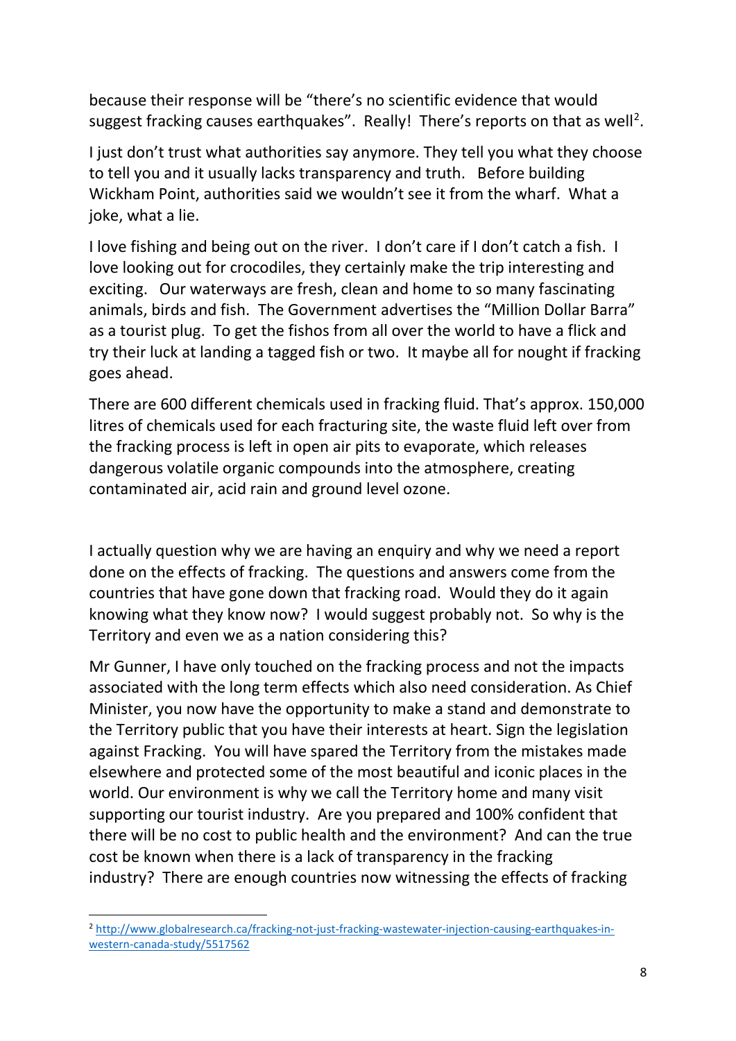because their response will be "there's no scientific evidence that would suggest fracking causes earthquakes". Really! There's reports on that as well<sup>[2](#page-7-0)</sup>.

I just don't trust what authorities say anymore. They tell you what they choose to tell you and it usually lacks transparency and truth. Before building Wickham Point, authorities said we wouldn't see it from the wharf. What a joke, what a lie.

I love fishing and being out on the river. I don't care if I don't catch a fish. I love looking out for crocodiles, they certainly make the trip interesting and exciting. Our waterways are fresh, clean and home to so many fascinating animals, birds and fish. The Government advertises the "Million Dollar Barra" as a tourist plug. To get the fishos from all over the world to have a flick and try their luck at landing a tagged fish or two. It maybe all for nought if fracking goes ahead.

There are 600 different chemicals used in fracking fluid. That's approx. 150,000 litres of chemicals used for each fracturing site, the waste fluid left over from the fracking process is left in open air pits to evaporate, which releases dangerous volatile organic compounds into the atmosphere, creating contaminated air, acid rain and ground level ozone.

I actually question why we are having an enquiry and why we need a report done on the effects of fracking. The questions and answers come from the countries that have gone down that fracking road. Would they do it again knowing what they know now? I would suggest probably not. So why is the Territory and even we as a nation considering this?

Mr Gunner, I have only touched on the fracking process and not the impacts associated with the long term effects which also need consideration. As Chief Minister, you now have the opportunity to make a stand and demonstrate to the Territory public that you have their interests at heart. Sign the legislation against Fracking. You will have spared the Territory from the mistakes made elsewhere and protected some of the most beautiful and iconic places in the world. Our environment is why we call the Territory home and many visit supporting our tourist industry. Are you prepared and 100% confident that there will be no cost to public health and the environment? And can the true cost be known when there is a lack of transparency in the fracking industry? There are enough countries now witnessing the effects of fracking

<span id="page-7-0"></span> <sup>2</sup> [http://www.globalresearch.ca/fracking-not-just-fracking-wastewater-injection-causing-earthquakes-in](http://www.globalresearch.ca/fracking-not-just-fracking-wastewater-injection-causing-earthquakes-in-western-canada-study/5517562)[western-canada-study/5517562](http://www.globalresearch.ca/fracking-not-just-fracking-wastewater-injection-causing-earthquakes-in-western-canada-study/5517562)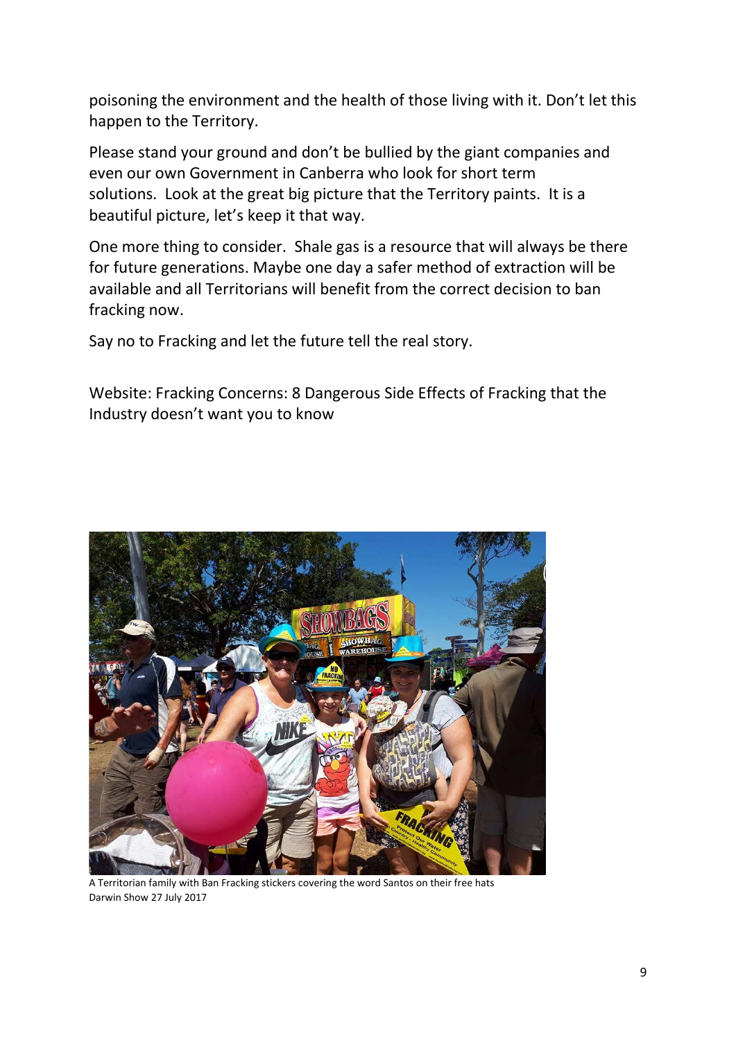poisoning the environment and the health of those living with it. Don't let this happen to the Territory.

Please stand your ground and don't be bullied by the giant companies and even our own Government in Canberra who look for short term solutions. Look at the great big picture that the Territory paints. It is a beautiful picture, let's keep it that way.

One more thing to consider. Shale gas is a resource that will always be there for future generations. Maybe one day a safer method of extraction will be available and all Territorians will benefit from the correct decision to ban fracking now.

Say no to Fracking and let the future tell the real story.

Website: Fracking Concerns: 8 Dangerous Side Effects of Fracking that the Industry doesn't want you to know



A Territorian family with Ban Fracking stickers covering the word Santos on their free hats Darwin Show 27 July 2017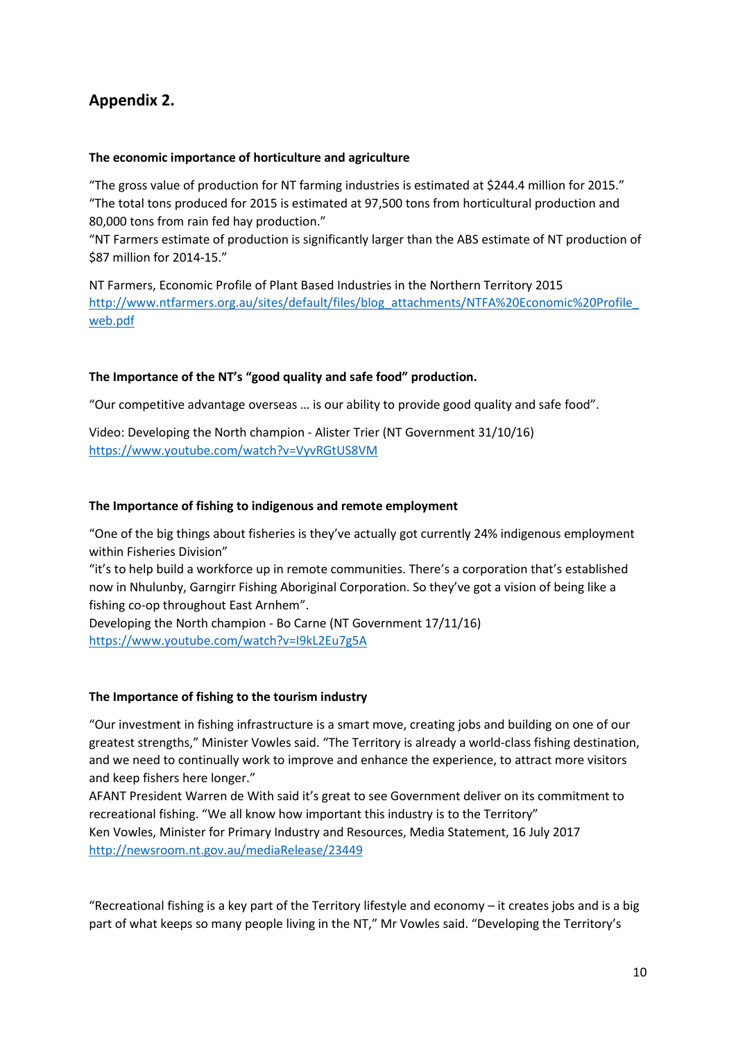# **Appendix 2.**

### **The economic importance of horticulture and agriculture**

"The gross value of production for NT farming industries is estimated at \$244.4 million for 2015." "The total tons produced for 2015 is estimated at 97,500 tons from horticultural production and 80,000 tons from rain fed hay production."

"NT Farmers estimate of production is significantly larger than the ABS estimate of NT production of \$87 million for 2014-15."

NT Farmers, Economic Profile of Plant Based Industries in the Northern Territory 2015 http://www.ntfarmers.org.au/sites/default/files/blog\_attachments/NTFA%20Economic%20Profile [web.pdf](http://www.ntfarmers.org.au/sites/default/files/blog_attachments/NTFA%20Economic%20Profile_web.pdf)

### **The Importance of the NT's "good quality and safe food" production.**

"Our competitive advantage overseas … is our ability to provide good quality and safe food".

Video: Developing the North champion - Alister Trier (NT Government 31/10/16) <https://www.youtube.com/watch?v=VyvRGtUS8VM>

### **The Importance of fishing to indigenous and remote employment**

"One of the big things about fisheries is they've actually got currently 24% indigenous employment within Fisheries Division"

"it's to help build a workforce up in remote communities. There's a corporation that's established now in Nhulunby, Garngirr Fishing Aboriginal Corporation. So they've got a vision of being like a fishing co-op throughout East Arnhem".

Developing the North champion - Bo Carne (NT Government 17/11/16) <https://www.youtube.com/watch?v=I9kL2Eu7g5A>

#### **The Importance of fishing to the tourism industry**

"Our investment in fishing infrastructure is a smart move, creating jobs and building on one of our greatest strengths," Minister Vowles said. "The Territory is already a world-class fishing destination, and we need to continually work to improve and enhance the experience, to attract more visitors and keep fishers here longer."

AFANT President Warren de With said it's great to see Government deliver on its commitment to recreational fishing. "We all know how important this industry is to the Territory" Ken Vowles, Minister for Primary Industry and Resources, Media Statement, 16 July 2017 <http://newsroom.nt.gov.au/mediaRelease/23449>

"Recreational fishing is a key part of the Territory lifestyle and economy – it creates jobs and is a big part of what keeps so many people living in the NT," Mr Vowles said. "Developing the Territory's